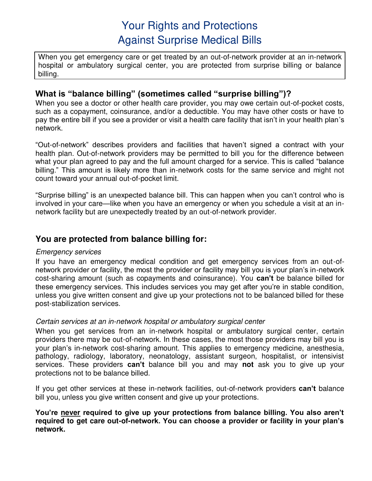# Your Rights and Protections Against Surprise Medical Bills

When you get emergency care or get treated by an out-of-network provider at an in-network hospital or ambulatory surgical center, you are protected from surprise billing or balance billing.

## **What is "balance billing" (sometimes called "surprise billing")?**

When you see a doctor or other health care provider, you may owe certain out-of-pocket costs, such as a copayment, coinsurance, and/or a deductible. You may have other costs or have to pay the entire bill if you see a provider or visit a health care facility that isn't in your health plan's network.

"Out-of-network" describes providers and facilities that haven't signed a contract with your health plan. Out-of-network providers may be permitted to bill you for the difference between what your plan agreed to pay and the full amount charged for a service. This is called "balance billing." This amount is likely more than in-network costs for the same service and might not count toward your annual out-of-pocket limit.

"Surprise billing" is an unexpected balance bill. This can happen when you can't control who is involved in your care—like when you have an emergency or when you schedule a visit at an innetwork facility but are unexpectedly treated by an out-of-network provider.

## **You are protected from balance billing for:**

#### Emergency services

If you have an emergency medical condition and get emergency services from an out-ofnetwork provider or facility, the most the provider or facility may bill you is your plan's in-network cost-sharing amount (such as copayments and coinsurance). You **can't** be balance billed for these emergency services. This includes services you may get after you're in stable condition, unless you give written consent and give up your protections not to be balanced billed for these post-stabilization services.

### Certain services at an in-network hospital or ambulatory surgical center

When you get services from an in-network hospital or ambulatory surgical center, certain providers there may be out-of-network. In these cases, the most those providers may bill you is your plan's in-network cost-sharing amount. This applies to emergency medicine, anesthesia, pathology, radiology, laboratory, neonatology, assistant surgeon, hospitalist, or intensivist services. These providers **can't** balance bill you and may **not** ask you to give up your protections not to be balance billed.

If you get other services at these in-network facilities, out-of-network providers **can't** balance bill you, unless you give written consent and give up your protections.

**You're never required to give up your protections from balance billing. You also aren't required to get care out-of-network. You can choose a provider or facility in your plan's network.**